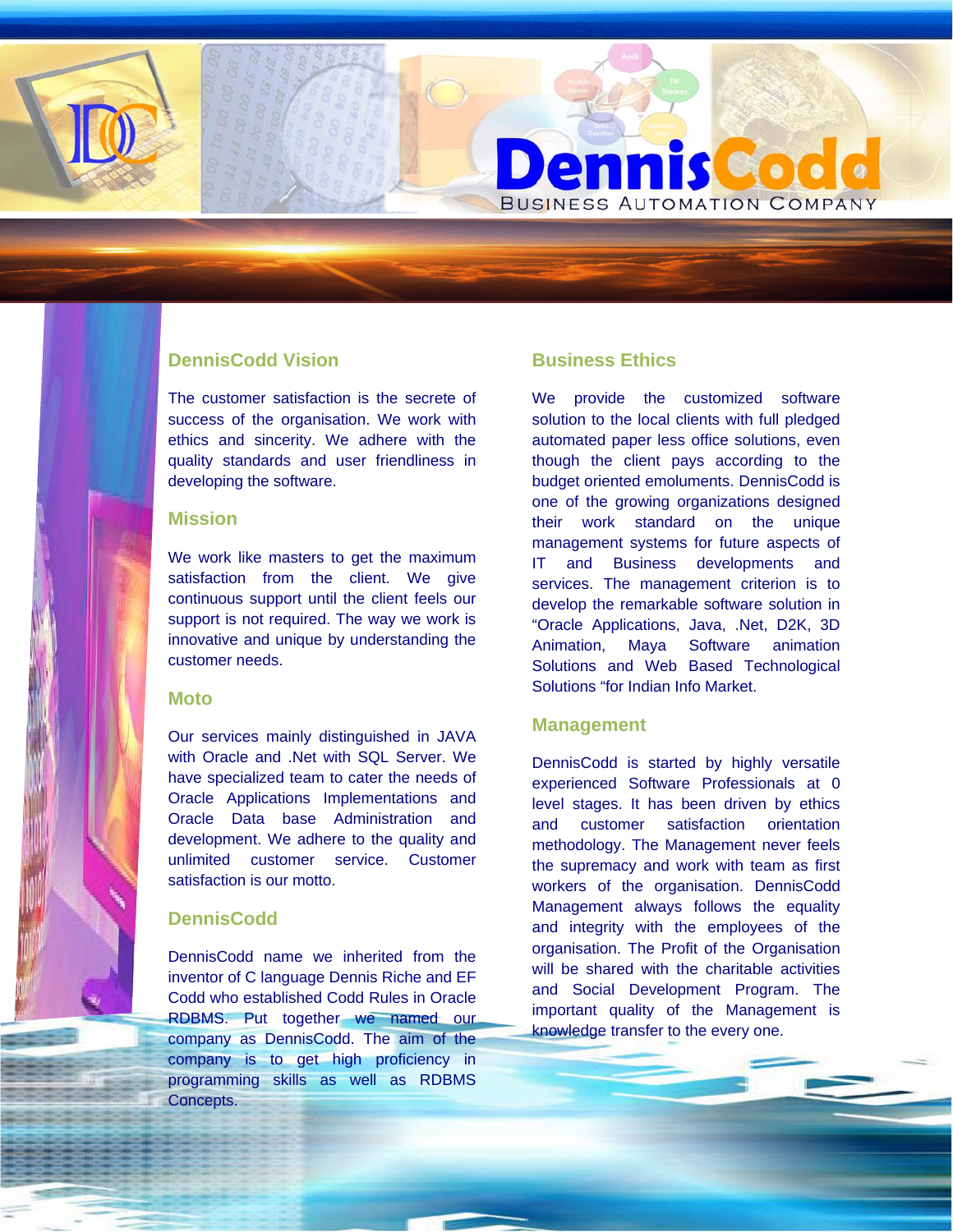# **Denniscod** BUSINESS AUTOMATION COMPANY

# **DennisCodd Vision**

The customer satisfaction is the secrete of success of the organisation. We work with ethics and sincerity. We adhere with the quality standards and user friendliness in developing the software.

#### **Mission**

We work like masters to get the maximum satisfaction from the client. We give continuous support until the client feels our support is not required. The way we work is innovative and unique by understanding the customer needs.

#### **Moto**

Our services mainly distinguished in JAVA with Oracle and .Net with SQL Server. We have specialized team to cater the needs of Oracle Applications Implementations and Oracle Data base Administration and development. We adhere to the quality and unlimited customer service. Customer satisfaction is our motto.

# **DennisCodd**

DennisCodd name we inherited from the inventor of C language Dennis Riche and EF Codd who established Codd Rules in Oracle RDBMS. Put together we named our company as DennisCodd. The aim of the company is to get high proficiency in programming skills as well as RDBMS Concepts.

#### **Business Ethics**

We provide the customized software solution to the local clients with full pledged automated paper less office solutions, even though the client pays according to the budget oriented emoluments. DennisCodd is one of the growing organizations designed their work standard on the unique management systems for future aspects of IT and Business developments and services. The management criterion is to develop the remarkable software solution in "Oracle Applications, Java, .Net, D2K, 3D Animation, Maya Software animation Solutions and Web Based Technological Solutions "for Indian Info Market.

#### **Management**

DennisCodd is started by highly versatile experienced Software Professionals at 0 level stages. It has been driven by ethics and customer satisfaction orientation methodology. The Management never feels the supremacy and work with team as first workers of the organisation. DennisCodd Management always follows the equality and integrity with the employees of the organisation. The Profit of the Organisation will be shared with the charitable activities and Social Development Program. The important quality of the Management is knowledge transfer to the every one.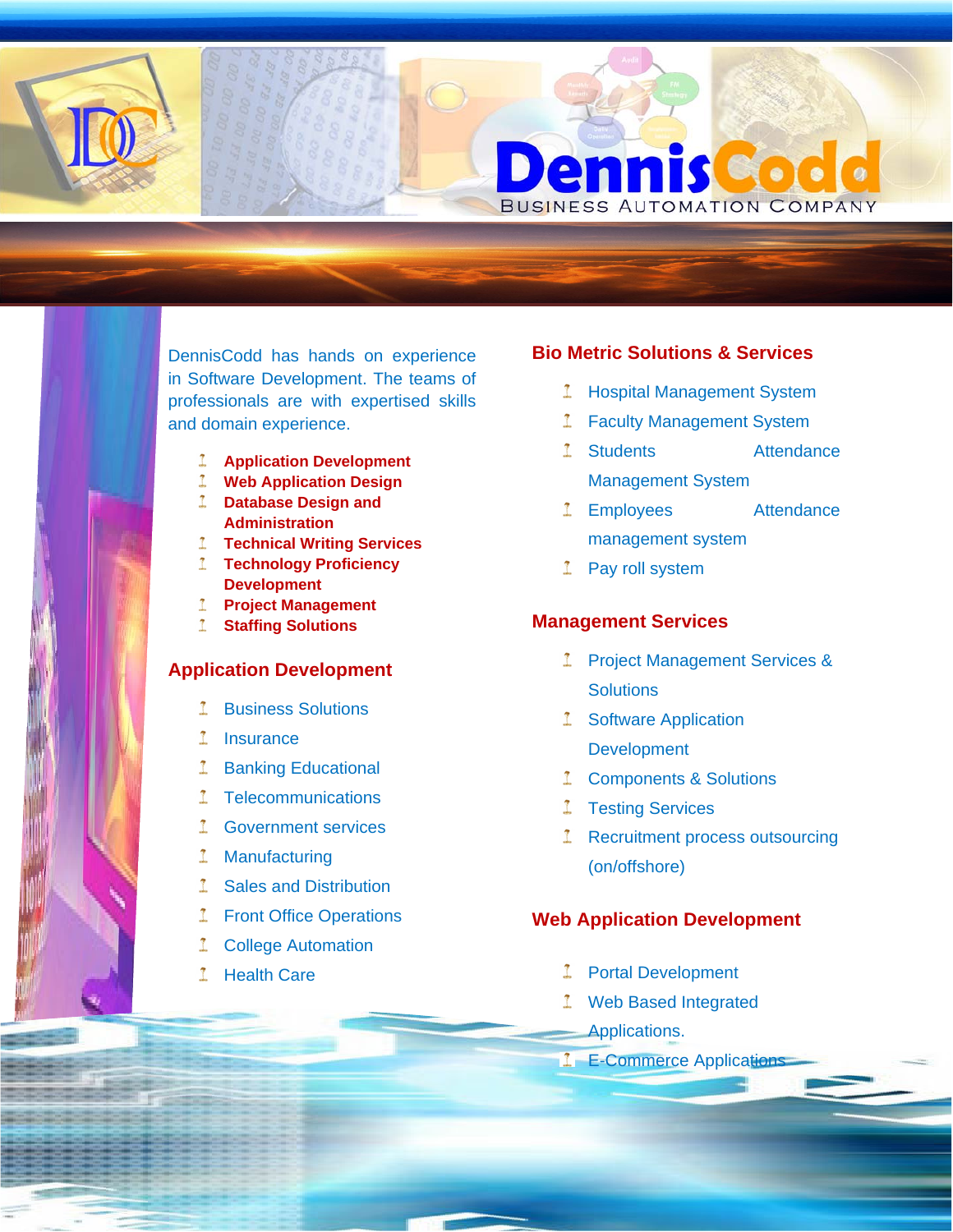

- **Application Development**  L
- $\mathbb{I}$ **Web Application Design Database Design and**
- **Administration Technical Writing Services**
- **Technology Proficiency**
- **Development**   $\mathcal{I}$ **Project Management**
- $\mathbb{I}$ **Staffing Solutions**

#### **Application Development**

- 1 Business Solutions
- Insurance
- 1 Banking Educational
- 1 Telecommunications
- Ĩ. Government services
- 1 Manufacturing
- 1 Sales and Distribution
- 1 Front Office Operations
- College Automation
- 1 Health Care

# **Bio Metric Solutions & Services**

1 Hospital Management System

BUSINESS AUTOMATION COMPANY

 $\bullet \bullet \bullet$ 

- 1 Faculty Management System
- 1 Students **Attendance** Management System
- 1 Employees Attendance management system
- 1 Pay roll system

#### **Management Services**

- 1 Project Management Services & **Solutions**
- 1 Software Application **Development**
- Components & Solutions
- 1 Testing Services
- 1 Recruitment process outsourcing (on/offshore)

### **Web Application Development**

- 1 Portal Development
- Web Based Integrated
- Applications.
- 1 E-Commerce Applications